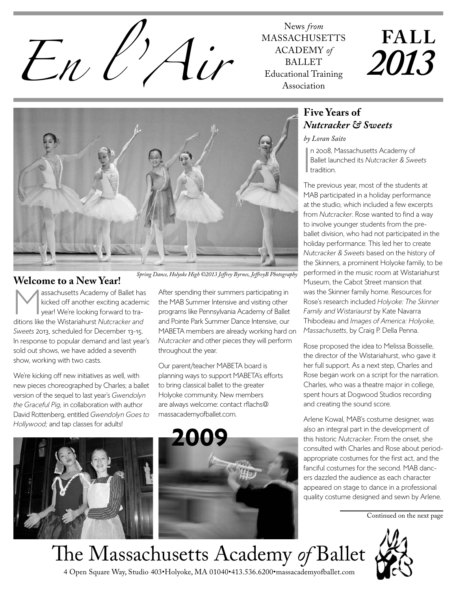News *from*<br>MASSACHUSH<br>*En le* de MASSACHUSH

MASSACHUSETTS ACADEMY *of* BALLET Educational Training Association

**FALL** *2013*



# **Welcome to a New Year!**<br> **A** assachusetts Academy of Ballet has

Massachusetts Academy of Ballet has<br>
kicked off another exciting academic<br>
year! We're looking forward to tra-<br>
this Mistaria hand Action claused kicked off another exciting academic vear! We're looking forward to traditions like the Wistariahurst *Nutcracker and Sweets* 2013, scheduled for December 13-15. In response to popular demand and last year's sold out shows, we have added a seventh show, working with two casts.

We're kicking off new initiatives as well, with new pieces choreographed by Charles; a ballet version of the sequel to last year's *Gwendolyn the Graceful Pig,* in collaboration with author David Rottenberg, entitled *Gwendolyn Goes to Hollywood;* and tap classes for adults!

 *Spring Dance, Holyoke High ©2013 Jeffrey Byrnes, JeffreyB Photography*

After spending their summers participating in the MAB Summer Intensive and visiting other programs like Pennsylvania Academy of Ballet and Pointe Park Summer Dance Intensive, our MABETA members are already working hard on *Nutcracker* and other pieces they will perform throughout the year.

Our parent/teacher MABETA board is planning ways to support MABETA's efforts to bring classical ballet to the greater Holyoke community. New members are always welcome: contact rflachs@ massacademyofballet.com.



### **Five Years of**  *Nutcracker & Sweets*

#### *by Loran Saito*

I n 2008, Massachusetts Academy of Ballet launched its *Nutcracker & Sweets* **I**tradition.

The previous year, most of the students at MAB participated in a holiday performance at the studio, which included a few excerpts from *Nutcracker*. Rose wanted to find a way to involve younger students from the preballet division, who had not participated in the holiday performance. This led her to create *Nutcracker & Sweets* based on the history of the Skinners, a prominent Holyoke family, to be performed in the music room at Wistariahurst Museum, the Cabot Street mansion that was the Skinner family home. Resources for Rose's research included *Holyoke: The Skinner Family and Wistariaurst* by Kate Navarra Thibodeau and *Images of America: Holyoke, Massachusetts*, by Craig P. Della Penna.

Rose proposed the idea to Melissa Boisselle, the director of the Wistariahurst, who gave it her full support. As a next step, Charles and Rose began work on a script for the narration. Charles, who was a theatre major in college, spent hours at Dogwood Studios recording and creating the sound score.

Arlene Kowal, MAB's costume designer, was also an integral part in the development of this historic *Nutcracker*. From the onset, she consulted with Charles and Rose about periodappropriate costumes for the first act, and the fanciful costumes for the second. MAB dancers dazzled the audience as each character appeared on stage to dance in a professional quality costume designed and sewn by Arlene.

Continued on the next page



4 Open Square Way, Studio 403•Holyoke, MA 01040•413.536.6200•massacademyofballet.com The Massachusetts Academy *of* Ballet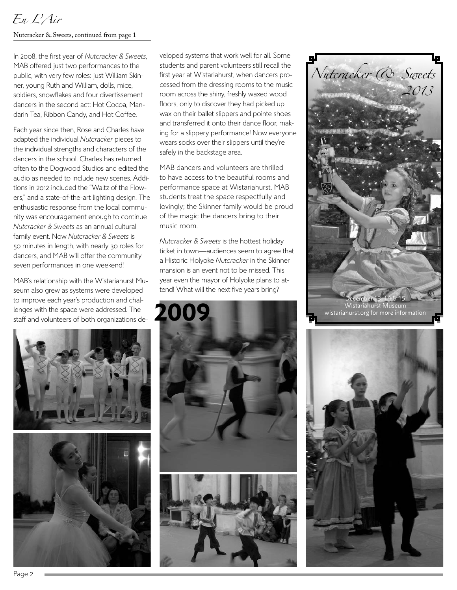# *En L'Air*

#### Nutcracker & Sweets, continued from page 1

In 2008, the first year of *Nutcracker & Sweets*, MAB offered just two performances to the public, with very few roles: just William Skinner, young Ruth and William, dolls, mice, soldiers, snowflakes and four divertissement dancers in the second act: Hot Cocoa, Mandarin Tea, Ribbon Candy, and Hot Coffee.

Each year since then, Rose and Charles have adapted the individual *Nutcracker* pieces to the individual strengths and characters of the dancers in the school. Charles has returned often to the Dogwood Studios and edited the audio as needed to include new scenes. Additions in 2012 included the "Waltz of the Flowers," and a state-of-the-art lighting design. The enthusiastic response from the local community was encouragement enough to continue *Nutcracker & Sweets* as an annual cultural family event. Now *Nutcracker & Sweets* is 50 minutes in length, with nearly 30 roles for dancers, and MAB will offer the community seven performances in one weekend!

MAB's relationship with the Wistariahurst Museum also grew as systems were developed to improve each year's production and challenges with the space were addressed. The staff and volunteers of both organizations de-



veloped systems that work well for all. Some students and parent volunteers still recall the first year at Wistariahurst, when dancers processed from the dressing rooms to the music room across the shiny, freshly waxed wood floors, only to discover they had picked up wax on their ballet slippers and pointe shoes and transferred it onto their dance floor, making for a slippery performance! Now everyone wears socks over their slippers until they're safely in the backstage area.

MAB dancers and volunteers are thrilled to have access to the beautiful rooms and performance space at Wistariahurst. MAB students treat the space respectfully and lovingly; the Skinner family would be proud of the magic the dancers bring to their music room.

*Nutcracker & Sweets* is the hottest holiday ticket in town—audiences seem to agree that a Historic Holyoke *Nutcracker* in the Skinner mansion is an event not to be missed. This year even the mayor of Holyoke plans to attend! What will the next five years bring?





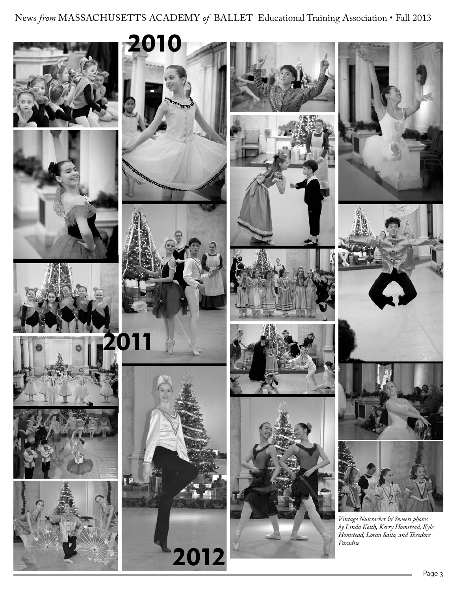News *from* MASSACHUSETTS ACADEMY *of* BALLET Educational Training Association • Fall 2013

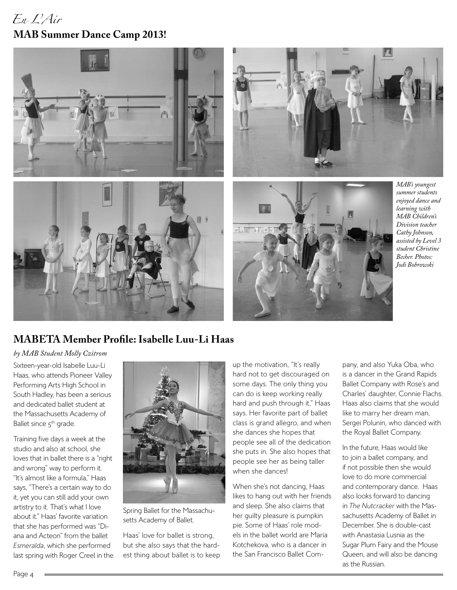# *En L'Air* **MAB Summer Dance Camp 2013!**



# **MABETA Member Profile: Isabelle Luu-Li Haas**

#### *by MAB Student Molly Czitrom*

Sixteen-year-old Isabelle Luu-Li Haas, who attends Pioneer Valley Performing Arts High School in South Hadley, has been a serious and dedicated ballet student at the Massachusetts Academy of Ballet since 5<sup>th</sup> grade.

Training five days a week at the studio and also at school, she loves that in ballet there is a "right and wrong" way to perform it. "It's almost like a formula," Haas says, "There's a certain way to do it, yet you can still add your own artistry to it. That's what I love about it." Haas' favorite variation that she has performed was "Diana and Acteon" from the ballet *Esmeralda*, which she performed last spring with Roger Creel in the



Spring Ballet for the Massachusetts Academy of Ballet.

Haas' love for ballet is strong, but she also says that the hardest thing about ballet is to keep

up the motivation, "It's really hard not to get discouraged on some days. The only thing you can do is keep working really hard and push through it," Haas says. Her favorite part of ballet class is grand allegro, and when she dances she hopes that people see all of the dedication she puts in. She also hopes that people see her as being taller when she dances!

When she's not dancing, Haas likes to hang out with her friends and sleep. She also claims that her guilty pleasure is pumpkin pie. Some of Haas' role models in the ballet world are Maria Kotchekova, who is a dancer in the San Francisco Ballet Company, and also Yuka Oba, who is a dancer in the Grand Rapids Ballet Company with Rose's and Charles' daughter, Connie Flachs. Haas also claims that she would like to marry her dream man, Sergei Polunin, who danced with the Royal Ballet Company.

In the future, Haas would like to join a ballet company, and if not possible then she would love to do more commercial and contemporary dance. Haas also looks forward to dancing in *The Nutcracker* with the Massachusetts Academy of Ballet in December. She is double-cast with Anastasia Lusnia as the Sugar Plum Fairy and the Mouse Queen, and will also be dancing as the Russian.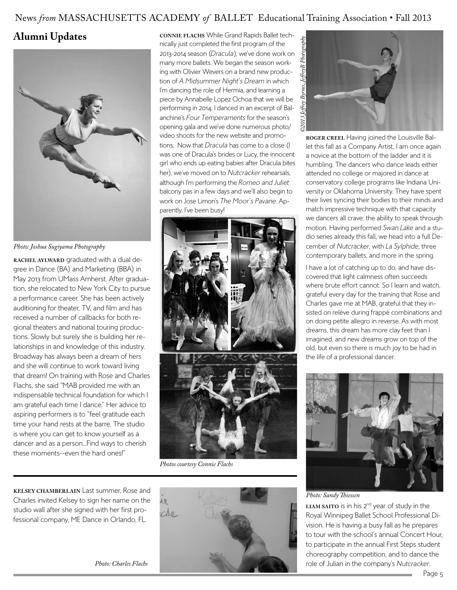### News *from* MASSACHUSETTS ACADEMY *of* BALLET Educational Training Association • Fall 2013

### **Alumni Updates**



*Photo: Joshua Sugiyama Photography*

**rachel aylward** graduated with a dual degree in Dance (BA) and Marketing (BBA) in May 2013 from UMass Amherst. After graduation, she relocated to New York City to pursue a performance career. She has been actively auditioning for theater, TV, and film and has received a number of callbacks for both regional theaters and national touring productions. Slowly but surely she is building her relationships in and knowledge of this industry. Broadway has always been a dream of hers and she will continue to work toward living that dream! On training with Rose and Charles Flachs, she said "MAB provided me with an indispensable technical foundation for which I am grateful each time I dance." Her advice to aspiring performers is to "feel gratitude each time your hand rests at the barre. The studio is where you can get to know yourself as a dancer and as a person...Find ways to cherish these moments--even the hard ones!"

**kelsey chamberlain** Last summer, Rose and Charles invited Kelsey to sign her name on the studio wall after she signed with her first professional company, ME Dance in Orlando, FL.

**connie flachs** While Grand Rapids Ballet technically just completed the first program of the 2013-2014 season (*Dracula*), we've done work on many more ballets. We began the season working with Olivier Wevers on a brand new production of *A Midsummer Night's Dream* in which I'm dancing the role of Hermia, and learning a piece by Annabelle Lopez Ochoa that we will be performing in 2014. I danced in an excerpt of Balanchine's *Four Temperaments* for the season's opening gala and we've done numerous photo/ video shoots for the new website and promotions. Now that *Dracula* has come to a close (I was one of Dracula's brides or Lucy, the innocent girl who ends up eating babies after Dracula bites her), we've moved on to *Nutcracker* rehearsals, although I'm performing the *Romeo and Juliet* balcony pas in a few days and we'll also begin to work on Jose Limon's *The Moor's Pavane*. Apparently, I've been busy!



*Photos courtesy Connie Flachs*





**roger creel** Having joined the Louisville Ballet this fall as a Company Artist, I am once again a novice at the bottom of the ladder and it is humbling. The dancers who dance leads either attended no college or majored in dance at conservatory college programs like Indiana University or Oklahoma University. They have spent their lives syncing their bodies to their minds and match impressive technique with that capacity we dancers all crave: the ability to speak through motion. Having performed *Swan Lake* and a studio series already this fall, we head into a full December of *Nutcracker*, with *La Sylphide*, three contemporary ballets, and more in the spring.

I have a lot of catching up to do, and have discovered that light calmness often succeeds where brute effort cannot. So I learn and watch, grateful every day for the training that Rose and Charles gave me at MAB, grateful that they insisted on reléve during frappé combinations and on doing petite allegro in reverse. As with most dreams, this dream has more clay feet than I imagined, and new dreams grow on top of the old, but even so there is much joy to be had in the life of a professional dancer.



*Photo: Sandy Thiessen*

LIAM **SAITO** is in his 2<sup>nd</sup> year of study in the Royal Winnipeg Ballet School Professional Division. He is having a busy fall as he prepares to tour with the school's annual Concert Hour, to participate in the annual First Steps student choreography competition, and to dance the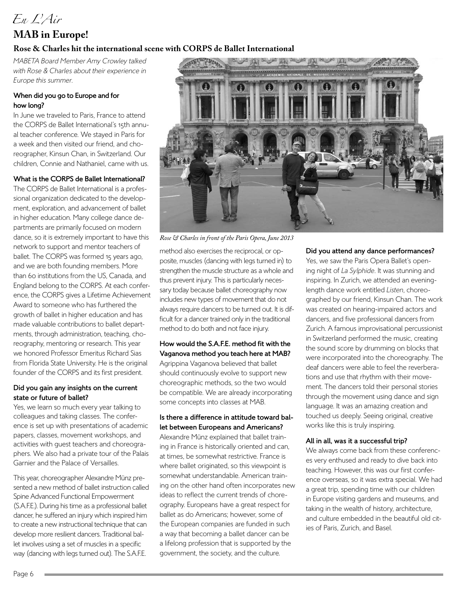# *En L'Air*

# **MAB in Europe!**

#### **Rose & Charles hit the international scene with CORPS de Ballet International**

*MABETA Board Member Amy Crowley talked with Rose & Charles about their experience in Europe this summer.*

#### **When did you go to Europe and for how long?**

In June we traveled to Paris, France to attend the CORPS de Ballet International's 15th annual teacher conference. We stayed in Paris for a week and then visited our friend, and choreographer, Kinsun Chan, in Switzerland. Our children, Connie and Nathaniel, came with us.

#### **What is the CORPS de Ballet International?**

The CORPS de Ballet International is a professional organization dedicated to the development, exploration, and advancement of ballet in higher education. Many college dance departments are primarily focused on modern dance, so it is extremely important to have this network to support and mentor teachers of ballet. The CORPS was formed 15 years ago, and we are both founding members. More than 60 institutions from the US, Canada, and England belong to the CORPS. At each conference, the CORPS gives a Lifetime Achievement Award to someone who has furthered the growth of ballet in higher education and has made valuable contributions to ballet departments, through administration, teaching, choreography, mentoring or research. This year we honored Professor Emeritus Richard Sias from Florida State University. He is the original founder of the CORPS and its first president.

#### **Did you gain any insights on the current state or future of ballet?**

Yes, we learn so much every year talking to colleagues and taking classes. The conference is set up with presentations of academic papers, classes, movement workshops, and activities with guest teachers and choreographers. We also had a private tour of the Palais Garnier and the Palace of Versailles.

This year, choreographer Alexandre Münz presented a new method of ballet instruction called Spine Advanced Functional Empowerment (S.A.F.E.). During his time as a professional ballet dancer, he suffered an injury which inspired him to create a new instructional technique that can develop more resilient dancers. Traditional ballet involves using a set of muscles in a specific way (dancing with legs turned out). The S.A.F.E.



*Rose & Charles in front of the Paris Opera, June 2013*

method also exercises the reciprocal, or opposite, muscles (dancing with legs turned in) to strengthen the muscle structure as a whole and thus prevent injury. This is particularly necessary today because ballet choreography now includes new types of movement that do not always require dancers to be turned out. It is difficult for a dancer trained only in the traditional method to do both and not face injury.

**How would the S.A.F.E. method fit with the Vaganova method you teach here at MAB?** Agrippina Vaganova believed that ballet should continuously evolve to support new choreographic methods, so the two would be compatible. We are already incorporating some concepts into classes at MAB.

#### **Is there a difference in attitude toward ballet between Europeans and Americans?**

Alexandre Münz explained that ballet training in France is historically oriented and can, at times, be somewhat restrictive. France is where ballet originated, so this viewpoint is somewhat understandable. American training on the other hand often incorporates new ideas to reflect the current trends of choreography. Europeans have a great respect for ballet as do Americans; however, some of the European companies are funded in such a way that becoming a ballet dancer can be a lifelong profession that is supported by the government, the society, and the culture.

#### **Did you attend any dance performances?**

Yes, we saw the Paris Opera Ballet's opening night of *La Sylphide*. It was stunning and inspiring. In Zurich, we attended an eveninglength dance work entitled *Listen*, choreographed by our friend, Kinsun Chan. The work was created on hearing-impaired actors and dancers, and five professional dancers from Zurich. A famous improvisational percussionist in Switzerland performed the music, creating the sound score by drumming on blocks that were incorporated into the choreography. The deaf dancers were able to feel the reverberations and use that rhythm with their movement. The dancers told their personal stories through the movement using dance and sign language. It was an amazing creation and touched us deeply. Seeing original, creative works like this is truly inspiring.

#### **All in all, was it a successful trip?**

We always come back from these conferences very enthused and ready to dive back into teaching. However, this was our first conference overseas, so it was extra special. We had a great trip, spending time with our children in Europe visiting gardens and museums, and taking in the wealth of history, architecture, and culture embedded in the beautiful old cities of Paris, Zurich, and Basel.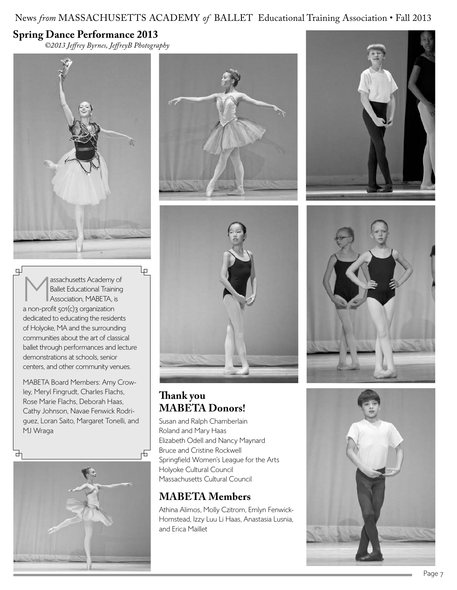## News *from* MASSACHUSETTS ACADEMY *of* BALLET Educational Training Association • Fall 2013

### **Spring Dance Performance 2013**

*©2013 Jeffrey Byrnes, JeffreyB Photography*



⋥ Massachusetts Academy of<br>
Ballet Educational Training<br>
Association, MABETA, is Ballet Educational Training a non-profit 501(c)3 organization dedicated to educating the residents of Holyoke, MA and the surrounding communities about the art of classical ballet through performances and lecture demonstrations at schools, senior centers, and other community venues.

lρ

MABETA Board Members: Amy Crowley, Meryl Fingrudt, Charles Flachs, Rose Marie Flachs, Deborah Haas, Cathy Johnson, Navae Fenwick Rodriguez, Loran Saito, Margaret Tonelli, and MJ Wraga







### **Thank you MABETA Donors!**

Susan and Ralph Chamberlain Roland and Mary Haas Elizabeth Odell and Nancy Maynard Bruce and Cristine Rockwell Springfield Women's League for the Arts Holyoke Cultural Council Massachusetts Cultural Council

# **MABETA Members**

Athina Alimos, Molly Czitrom, Emlyn Fenwick-Homstead, Izzy Luu Li Haas, Anastasia Lusnia, and Erica Maillet